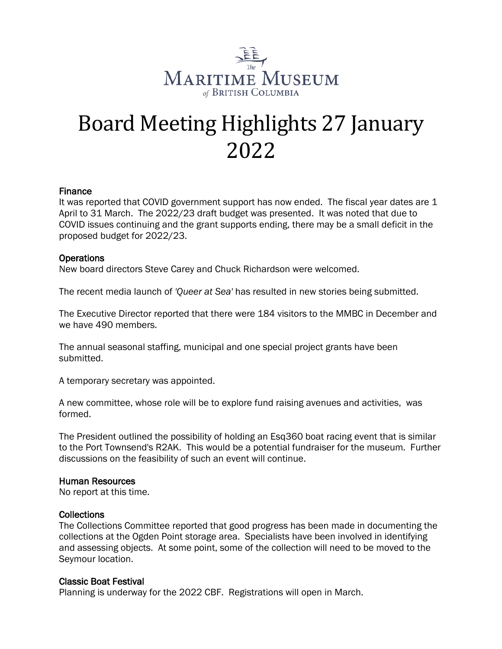

# Board Meeting Highlights 27 January 2022

## Finance

It was reported that COVID government support has now ended. The fiscal year dates are 1 April to 31 March. The 2022/23 draft budget was presented. It was noted that due to COVID issues continuing and the grant supports ending, there may be a small deficit in the proposed budget for 2022/23.

## Operations

New board directors Steve Carey and Chuck Richardson were welcomed.

The recent media launch of *'Queer at Sea'* has resulted in new stories being submitted.

The Executive Director reported that there were 184 visitors to the MMBC in December and we have 490 members.

The annual seasonal staffing, municipal and one special project grants have been submitted.

A temporary secretary was appointed.

A new committee, whose role will be to explore fund raising avenues and activities, was formed.

The President outlined the possibility of holding an Esq360 boat racing event that is similar to the Port Townsend's R2AK. This would be a potential fundraiser for the museum. Further discussions on the feasibility of such an event will continue.

#### Human Resources

No report at this time.

#### **Collections**

The Collections Committee reported that good progress has been made in documenting the collections at the Ogden Point storage area. Specialists have been involved in identifying and assessing objects. At some point, some of the collection will need to be moved to the Seymour location.

#### Classic Boat Festival

Planning is underway for the 2022 CBF. Registrations will open in March.